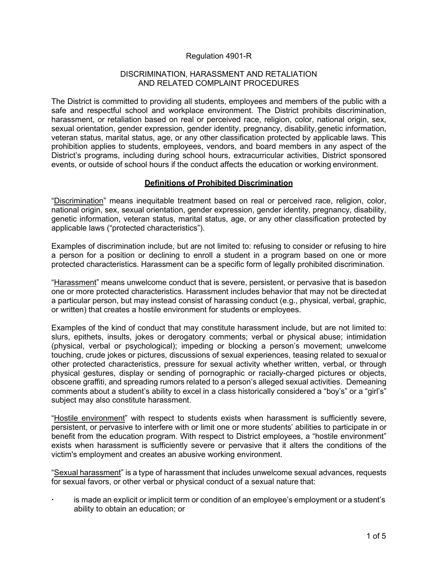# Regulation 4901-R

#### DISCRIMINATION, HARASSMENT AND RETALIATION AND RELATED COMPLAINT PROCEDURES

The District is committed to providing all students, employees and members of the public with a safe and respectful school and workplace environment. The District prohibits discrimination, harassment, or retaliation based on real or perceived race, religion, color, national origin, sex, sexual orientation, gender expression, gender identity, pregnancy, disability, genetic information, veteran status, marital status, age, or any other classification protected by applicable laws. This prohibition applies to students, employees, vendors, and board members in any aspect of the District's programs, including during school hours, extracurricular activities, District sponsored events, or outside of school hours if the conduct affects the education or working environment.

#### **Definitions of Prohibited Discrimination**

"Discrimination" means inequitable treatment based on real or perceived race, religion, color, national origin, sex, sexual orientation, gender expression, gender identity, pregnancy, disability, genetic information, veteran status, marital status, age, or any other classification protected by applicable laws ("protected characteristics").

Examples of discrimination include, but are not limited to: refusing to consider or refusing to hire a person for a position or declining to enroll a student in a program based on one or more protected characteristics. Harassment can be a specific form of legally prohibited discrimination.

"Harassment" means unwelcome conduct that is severe, persistent, or pervasive that is basedon one or more protected characteristics. Harassment includes behavior that may not be directedat a particular person, but may instead consist of harassing conduct (e.g., physical, verbal, graphic, or written) that creates a hostile environment for students or employees.

Examples of the kind of conduct that may constitute harassment include, but are not limited to: slurs, epithets, insults, jokes or derogatory comments; verbal or physical abuse; intimidation (physical, verbal or psychological); impeding or blocking a person's movement; unwelcome touching, crude jokes or pictures, discussions of sexual experiences, teasing related to sexualor other protected characteristics, pressure for sexual activity whether written, verbal, or through physical gestures, display or sending of pornographic or racially-charged pictures or objects, obscene graffiti, and spreading rumors related to a person's alleged sexual activities. Demeaning comments about a student's ability to excel in a class historically considered a "boy's" or a "girl's" subject may also constitute harassment.

"Hostile environment" with respect to students exists when harassment is sufficiently severe, persistent, or pervasive to interfere with or limit one or more students' abilities to participate in or benefit from the education program. With respect to District employees, a "hostile environment" exists when harassment is sufficiently severe or pervasive that it alters the conditions of the victim's employment and creates an abusive working environment.

"Sexual harassment" is a type of harassment that includes unwelcome sexual advances, requests for sexual favors, or other verbal or physical conduct of a sexual nature that:

 is made an explicit or implicit term or condition of an employee's employment or a student's ability to obtain an education; or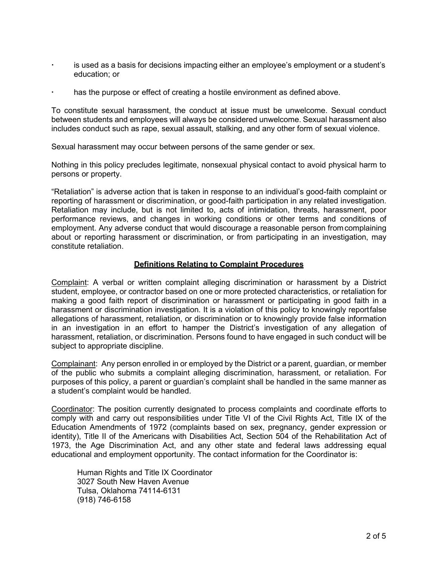- is used as a basis for decisions impacting either an employee's employment or a student's education; or
- has the purpose or effect of creating a hostile environment as defined above.

To constitute sexual harassment, the conduct at issue must be unwelcome. Sexual conduct between students and employees will always be considered unwelcome. Sexual harassment also includes conduct such as rape, sexual assault, stalking, and any other form of sexual violence.

Sexual harassment may occur between persons of the same gender or sex.

Nothing in this policy precludes legitimate, nonsexual physical contact to avoid physical harm to persons or property.

"Retaliation" is adverse action that is taken in response to an individual's good-faith complaint or reporting of harassment or discrimination, or good-faith participation in any related investigation. Retaliation may include, but is not limited to, acts of intimidation, threats, harassment, poor performance reviews, and changes in working conditions or other terms and conditions of employment. Any adverse conduct that would discourage a reasonable person fromcomplaining about or reporting harassment or discrimination, or from participating in an investigation, may constitute retaliation.

# **Definitions Relating to Complaint Procedures**

Complaint: A verbal or written complaint alleging discrimination or harassment by a District student, employee, or contractor based on one or more protected characteristics, or retaliation for making a good faith report of discrimination or harassment or participating in good faith in a harassment or discrimination investigation. It is a violation of this policy to knowingly reportfalse allegations of harassment, retaliation, or discrimination or to knowingly provide false information in an investigation in an effort to hamper the District's investigation of any allegation of harassment, retaliation, or discrimination. Persons found to have engaged in such conduct will be subject to appropriate discipline.

Complainant: Any person enrolled in or employed by the District or a parent, guardian, or member of the public who submits a complaint alleging discrimination, harassment, or retaliation. For purposes of this policy, a parent or guardian's complaint shall be handled in the same manner as a student's complaint would be handled.

Coordinator: The position currently designated to process complaints and coordinate efforts to comply with and carry out responsibilities under Title VI of the Civil Rights Act, Title IX of the Education Amendments of 1972 (complaints based on sex, pregnancy, gender expression or identity), Title II of the Americans with Disabilities Act, Section 504 of the Rehabilitation Act of 1973, the Age Discrimination Act, and any other state and federal laws addressing equal educational and employment opportunity. The contact information for the Coordinator is:

Human Rights and Title IX Coordinator 3027 South New Haven Avenue Tulsa, Oklahoma 74114-6131 (918) 746-6158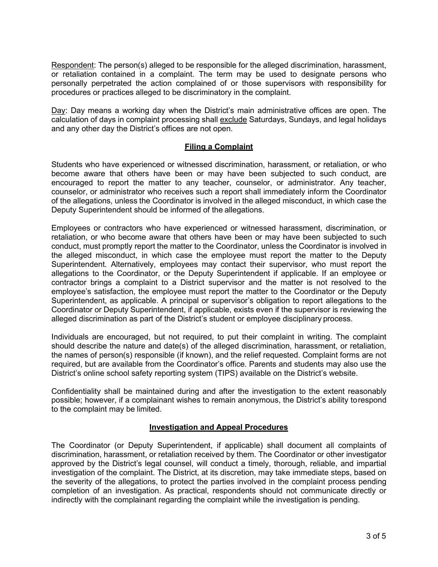Respondent: The person(s) alleged to be responsible for the alleged discrimination, harassment, or retaliation contained in a complaint. The term may be used to designate persons who personally perpetrated the action complained of or those supervisors with responsibility for procedures or practices alleged to be discriminatory in the complaint.

Day: Day means a working day when the District's main administrative offices are open. The calculation of days in complaint processing shall exclude Saturdays, Sundays, and legal holidays and any other day the District's offices are not open.

# **Filing a Complaint**

Students who have experienced or witnessed discrimination, harassment, or retaliation, or who become aware that others have been or may have been subjected to such conduct, are encouraged to report the matter to any teacher, counselor, or administrator. Any teacher, counselor, or administrator who receives such a report shall immediately inform the Coordinator of the allegations, unless the Coordinator is involved in the alleged misconduct, in which case the Deputy Superintendent should be informed of the allegations.

Employees or contractors who have experienced or witnessed harassment, discrimination, or retaliation, or who become aware that others have been or may have been subjected to such conduct, must promptly report the matter to the Coordinator, unless the Coordinator is involved in the alleged misconduct, in which case the employee must report the matter to the Deputy Superintendent. Alternatively, employees may contact their supervisor, who must report the allegations to the Coordinator, or the Deputy Superintendent if applicable. If an employee or contractor brings a complaint to a District supervisor and the matter is not resolved to the employee's satisfaction, the employee must report the matter to the Coordinator or the Deputy Superintendent, as applicable. A principal or supervisor's obligation to report allegations to the Coordinator or Deputy Superintendent, if applicable, exists even if the supervisor is reviewing the alleged discrimination as part of the District's student or employee disciplinary process.

Individuals are encouraged, but not required, to put their complaint in writing. The complaint should describe the nature and date(s) of the alleged discrimination, harassment, or retaliation, the names of person(s) responsible (if known), and the relief requested. Complaint forms are not required, but are available from the Coordinator's office. Parents and students may also use the District's online school safety reporting system (TIPS) available on the District's website.

Confidentiality shall be maintained during and after the investigation to the extent reasonably possible; however, if a complainant wishes to remain anonymous, the District's ability torespond to the complaint may be limited.

# **Investigation and Appeal Procedures**

The Coordinator (or Deputy Superintendent, if applicable) shall document all complaints of discrimination, harassment, or retaliation received by them. The Coordinator or other investigator approved by the District's legal counsel, will conduct a timely, thorough, reliable, and impartial investigation of the complaint. The District, at its discretion, may take immediate steps, based on the severity of the allegations, to protect the parties involved in the complaint process pending completion of an investigation. As practical, respondents should not communicate directly or indirectly with the complainant regarding the complaint while the investigation is pending.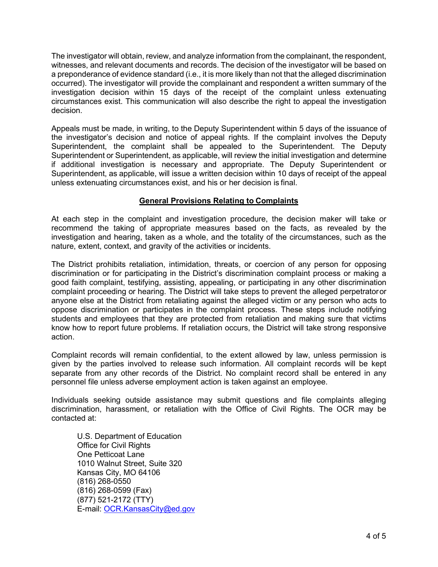The investigator will obtain, review, and analyze information from the complainant, the respondent, witnesses, and relevant documents and records. The decision of the investigator will be based on a preponderance of evidence standard (i.e., it is more likely than not that the alleged discrimination occurred). The investigator will provide the complainant and respondent a written summary of the investigation decision within 15 days of the receipt of the complaint unless extenuating circumstances exist. This communication will also describe the right to appeal the investigation decision.

Appeals must be made, in writing, to the Deputy Superintendent within 5 days of the issuance of the investigator's decision and notice of appeal rights. If the complaint involves the Deputy Superintendent, the complaint shall be appealed to the Superintendent. The Deputy Superintendent or Superintendent, as applicable, will review the initial investigation and determine if additional investigation is necessary and appropriate. The Deputy Superintendent or Superintendent, as applicable, will issue a written decision within 10 days of receipt of the appeal unless extenuating circumstances exist, and his or her decision is final.

# **General Provisions Relating to Complaints**

At each step in the complaint and investigation procedure, the decision maker will take or recommend the taking of appropriate measures based on the facts, as revealed by the investigation and hearing, taken as a whole, and the totality of the circumstances, such as the nature, extent, context, and gravity of the activities or incidents.

The District prohibits retaliation, intimidation, threats, or coercion of any person for opposing discrimination or for participating in the District's discrimination complaint process or making a good faith complaint, testifying, assisting, appealing, or participating in any other discrimination complaint proceeding or hearing. The District will take steps to prevent the alleged perpetratoror anyone else at the District from retaliating against the alleged victim or any person who acts to oppose discrimination or participates in the complaint process. These steps include notifying students and employees that they are protected from retaliation and making sure that victims know how to report future problems. If retaliation occurs, the District will take strong responsive action.

Complaint records will remain confidential, to the extent allowed by law, unless permission is given by the parties involved to release such information. All complaint records will be kept separate from any other records of the District. No complaint record shall be entered in any personnel file unless adverse employment action is taken against an employee.

Individuals seeking outside assistance may submit questions and file complaints alleging discrimination, harassment, or retaliation with the Office of Civil Rights. The OCR may be contacted at:

U.S. Department of Education Office for Civil Rights One Petticoat Lane 1010 Walnut Street, Suite 320 Kansas City, MO 64106 (816) 268-0550 (816) 268-0599 (Fax) (877) 521-2172 (TTY) E-mail: [OCR.KansasCity@ed.gov](mailto:OCR.KansasCity@ed.gov)